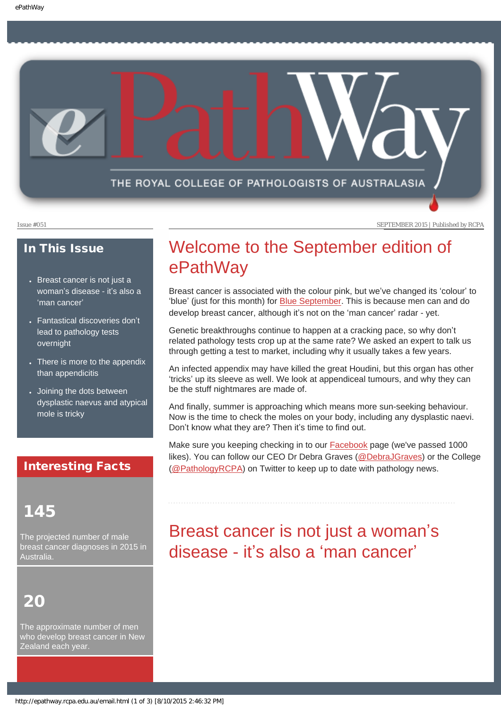<span id="page-0-0"></span>

Issue #051 SEPTEMBER 2015 | Published by RCPA

### In This Issue

- Breast cancer is not just a woman'[s disease - it](#page-0-0)'s also a '[man cancer](#page-0-0)'
- Fantastical discoveries don't lead to pathology tests overnight
- There is more to the appendix than appendicitis
- Joining the dots between dysplastic naevus and atypical mole is tricky

### Interesting Facts

### 145

The projected number of male breast cancer diagnoses in 2015 in Australia.

# 20

The approximate number of men who develop breast cancer in New Zealand each year.

# Welcome to the September edition of ePathWay

Breast cancer is associated with the colour pink, but we've changed its 'colour' to 'blue' (just for this month) for [Blue September](http://blueseptember.org.au/). This is because men can and do develop breast cancer, although it's not on the 'man cancer' radar - yet.

Genetic breakthroughs continue to happen at a cracking pace, so why don't related pathology tests crop up at the same rate? We asked an expert to talk us through getting a test to market, including why it usually takes a few years.

An infected appendix may have killed the great Houdini, but this organ has other 'tricks' up its sleeve as well. We look at appendiceal tumours, and why they can be the stuff nightmares are made of.

And finally, summer is approaching which means more sun-seeking behaviour. Now is the time to check the moles on your body, including any dysplastic naevi. Don't know what they are? Then it's time to find out.

Make sure you keeping checking in to our [Facebook](https://www.facebook.com/TheRoyalCollegeOfPathologistsOfAustralasia) page (we've passed 1000 likes). You can follow our CEO Dr Debra Graves [\(@DebraJGraves](https://twitter.com/DebraJGraves)) or the College ([@PathologyRCPA](https://twitter.com/PathologyRCPA)) on Twitter to keep up to date with pathology news.

# Breast cancer is not just a woman's disease - it's also a 'man cancer'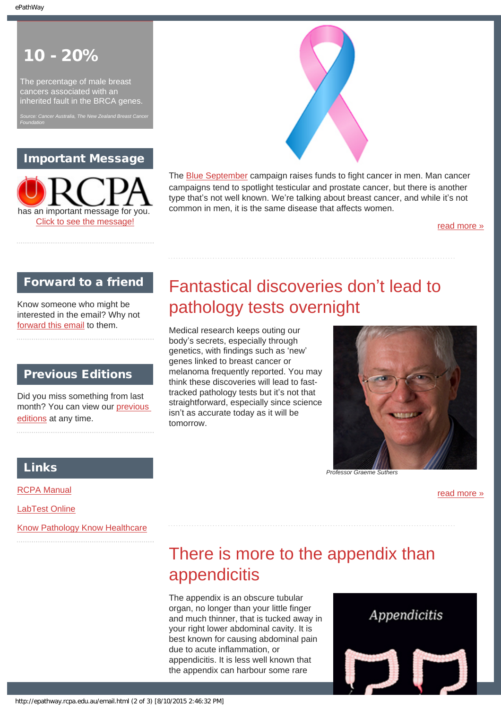*Foundation*

## 10 - 20%

The percentage of male breast cancers associated with an inherited fault in the BRCA genes.

### Important Message





The **Blue September** campaign raises funds to fight cancer in men. Man cancer campaigns tend to spotlight testicular and prostate cancer, but there is another type that's not well known. We're talking about breast cancer, and while it's not common in men, it is the same disease that affects women.

[read more »](#page-5-0)

### Forward to a friend

Know someone who might be interested in the email? Why not [forward this email](mailto:?Subject=I%20think%20you%20should%20read%20this%20Newsletter=
http://epathway.rcpa.edu.au/index.html) to them.

### Previous Editions

Did you miss something from last month? You can view our [previous](#page-3-0)  [editions](#page-3-0) at any time.

# Fantastical discoveries don't lead to pathology tests overnight

Medical research keeps outing our body's secrets, especially through genetics, with findings such as 'new' genes linked to breast cancer or melanoma frequently reported. You may think these discoveries will lead to fasttracked pathology tests but it's not that straightforward, especially since science isn't as accurate today as it will be tomorrow.



[read more »](#page-7-0)

### Links

[RCPA Manual](http://rcpamanual.edu.au/)

[LabTest Online](http://www.labtestsonline.org.au/)

[Know Pathology Know Healthcare](http://knowpathology.com.au/)

# There is more to the appendix than appendicitis

The appendix is an obscure tubular organ, no longer than your little finger and much thinner, that is tucked away in your right lower abdominal cavity. It is best known for causing abdominal pain due to acute inflammation, or appendicitis. It is less well known that the appendix can harbour some rare

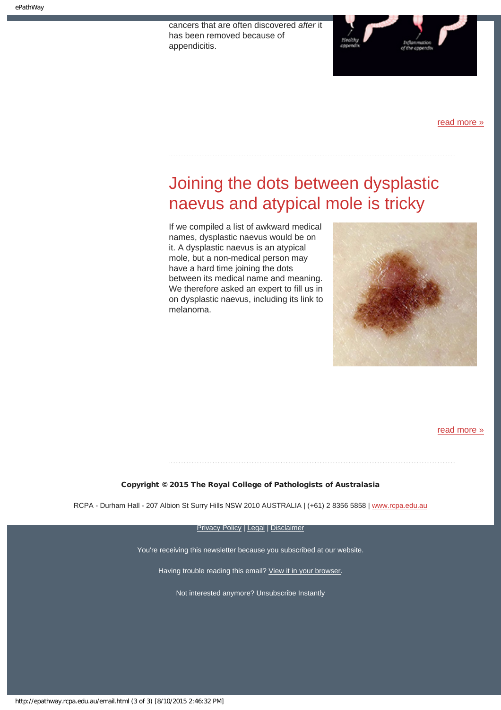cancers that are often discovered *after* it has been removed because of appendicitis.



[read more »](#page-9-0)

# Joining the dots between dysplastic naevus and atypical mole is tricky

If we compiled a list of awkward medical names, dysplastic naevus would be on it. A dysplastic naevus is an atypical mole, but a non-medical person may have a hard time joining the dots between its medical name and meaning. We therefore asked an expert to fill us in on dysplastic naevus, including its link to melanoma.



[read more »](#page-11-0)

Copyright © 2015 The Royal College of Pathologists of Australasia

RCPA - Durham Hall - 207 Albion St Surry Hills NSW 2010 AUSTRALIA | (+61) 2 8356 5858 | [www.rcpa.edu.au](https://www.rcpa.edu.au/)

**[Privacy Policy](https://www.rcpa.edu.au/Privacy-Policy.aspx) | [Legal](https://www.rcpa.edu.au/Legal.aspx) | [Disclaimer](https://www.rcpa.edu.au/Disclaimer.aspx)** 

You're receiving this newsletter because you subscribed at our website.

Having trouble reading this email? [View it in your browser](http://epathway.rcpa.edu.au/index.html).

Not interested anymore? Unsubscribe Instantly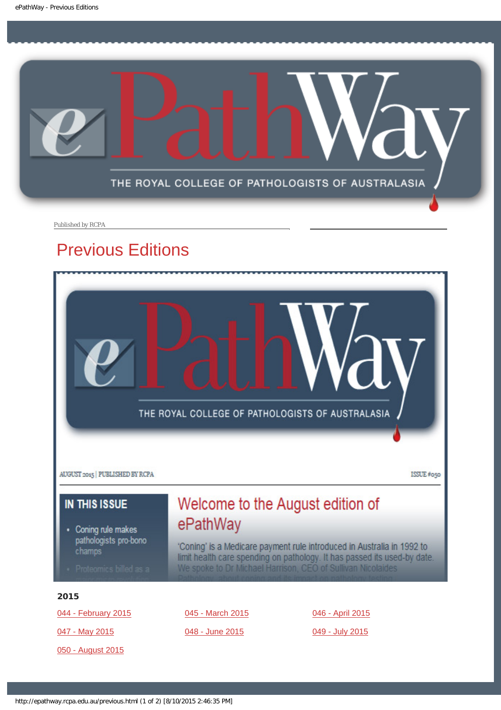<span id="page-3-0"></span>

Published by RCPA

# Previous Editions



[050 - August 2015](http://epathway.rcpa.edu.au/previous/050_0815.pdf)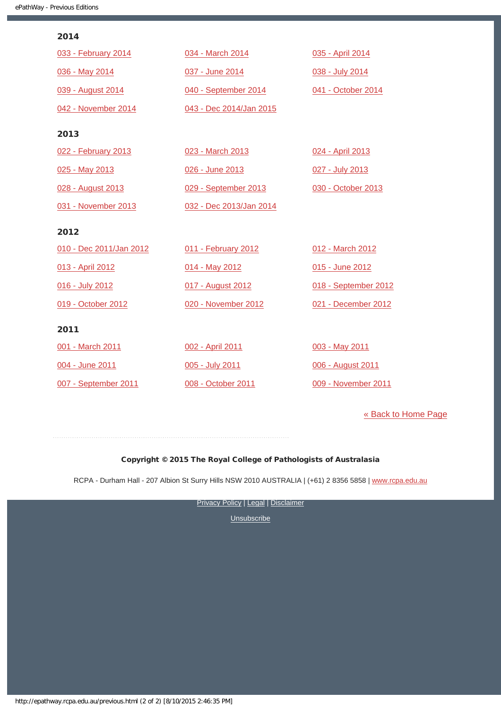| ۰.<br>- 7 |  |
|-----------|--|
|           |  |

| 033 - February 2014     | 034 - March 2014        | 035 - April 2014     |
|-------------------------|-------------------------|----------------------|
| 036 - May 2014          | 037 - June 2014         | 038 - July 2014      |
| 039 - August 2014       | 040 - September 2014    | 041 - October 2014   |
| 042 - November 2014     | 043 - Dec 2014/Jan 2015 |                      |
| 2013                    |                         |                      |
| 022 - February 2013     | 023 - March 2013        | 024 - April 2013     |
| 025 - May 2013          | 026 - June 2013         | 027 - July 2013      |
| 028 - August 2013       | 029 - September 2013    | 030 - October 2013   |
| 031 - November 2013     | 032 - Dec 2013/Jan 2014 |                      |
|                         |                         |                      |
| 2012                    |                         |                      |
| 010 - Dec 2011/Jan 2012 | 011 - February 2012     | 012 - March 2012     |
| 013 - April 2012        | 014 - May 2012          | 015 - June 2012      |
| 016 - July 2012         | 017 - August 2012       | 018 - September 2012 |
| 019 - October 2012      | 020 - November 2012     | 021 - December 2012  |
| 2011                    |                         |                      |
| 001 - March 2011        | 002 - April 2011        | 003 - May 2011       |
| 004 - June 2011         | 005 - July 2011         | 006 - August 2011    |

[« Back to Home Page](http://epathway.rcpa.edu.au/index.html)

### Copyright © 2015 The Royal College of Pathologists of Australasia

RCPA - Durham Hall - 207 Albion St Surry Hills NSW 2010 AUSTRALIA | (+61) 2 8356 5858 | [www.rcpa.edu.au](https://www.rcpa.edu.au/)

**[Privacy Policy](https://www.rcpa.edu.au/Content-Library/Privacy.aspx) | [Legal](https://www.rcpa.edu.au/Legal.aspx) | [Disclaimer](https://www.rcpa.edu.au/Disclaimer.aspx)**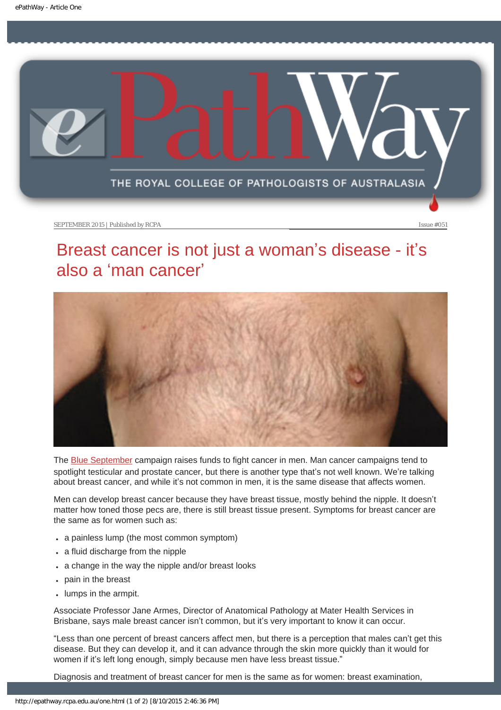<span id="page-5-0"></span>

# Breast cancer is not just a woman's disease - it's also a 'man cancer'



The [Blue September](http://blueseptember.org.au/) campaign raises funds to fight cancer in men. Man cancer campaigns tend to spotlight testicular and prostate cancer, but there is another type that's not well known. We're talking about breast cancer, and while it's not common in men, it is the same disease that affects women.

Men can develop breast cancer because they have breast tissue, mostly behind the nipple. It doesn't matter how toned those pecs are, there is still breast tissue present. Symptoms for breast cancer are the same as for women such as:

- a painless lump (the most common symptom)
- $\cdot$  a fluid discharge from the nipple
- a change in the way the nipple and/or breast looks
- pain in the breast
- lumps in the armpit.

Associate Professor Jane Armes, Director of Anatomical Pathology at Mater Health Services in Brisbane, says male breast cancer isn't common, but it's very important to know it can occur.

"Less than one percent of breast cancers affect men, but there is a perception that males can't get this disease. But they can develop it, and it can advance through the skin more quickly than it would for women if it's left long enough, simply because men have less breast tissue."

Diagnosis and treatment of breast cancer for men is the same as for women: breast examination,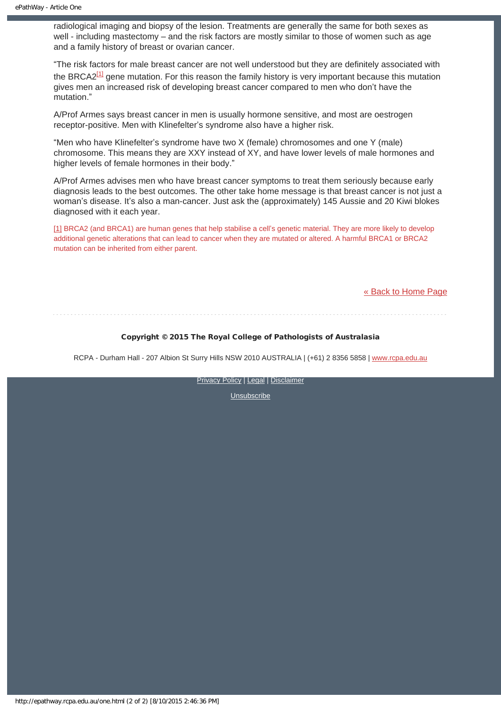radiological imaging and biopsy of the lesion. Treatments are generally the same for both sexes as well - including mastectomy – and the risk factors are mostly similar to those of women such as age and a family history of breast or ovarian cancer.

<span id="page-6-1"></span>"The risk factors for male breast cancer are not well understood but they are definitely associated with the BRCA2 $^{[1]}$  gene mutation. For this reason the family history is very important because this mutation gives men an increased risk of developing breast cancer compared to men who don't have the mutation."

A/Prof Armes says breast cancer in men is usually hormone sensitive, and most are oestrogen receptor-positive. Men with Klinefelter's syndrome also have a higher risk.

"Men who have Klinefelter's syndrome have two X (female) chromosomes and one Y (male) chromosome. This means they are XXY instead of XY, and have lower levels of male hormones and higher levels of female hormones in their body."

A/Prof Armes advises men who have breast cancer symptoms to treat them seriously because early diagnosis leads to the best outcomes. The other take home message is that breast cancer is not just a woman's disease. It's also a man-cancer. Just ask the (approximately) 145 Aussie and 20 Kiwi blokes diagnosed with it each year.

<span id="page-6-0"></span>[\[1\]](#page-6-1) BRCA2 (and BRCA1) are human genes that help stabilise a cell's genetic material. They are more likely to develop additional genetic alterations that can lead to cancer when they are mutated or altered. A harmful BRCA1 or BRCA2 mutation can be inherited from either parent.

[« Back to Home Page](http://epathway.rcpa.edu.au/index.html)

### Copyright © 2015 The Royal College of Pathologists of Australasia

RCPA - Durham Hall - 207 Albion St Surry Hills NSW 2010 AUSTRALIA | (+61) 2 8356 5858 | [www.rcpa.edu.au](https://www.rcpa.edu.au/)

[Privacy Policy](https://www.rcpa.edu.au/Content-Library/Privacy.aspx) | [Legal](https://www.rcpa.edu.au/Legal.aspx) | [Disclaimer](https://www.rcpa.edu.au/Disclaimer.aspx)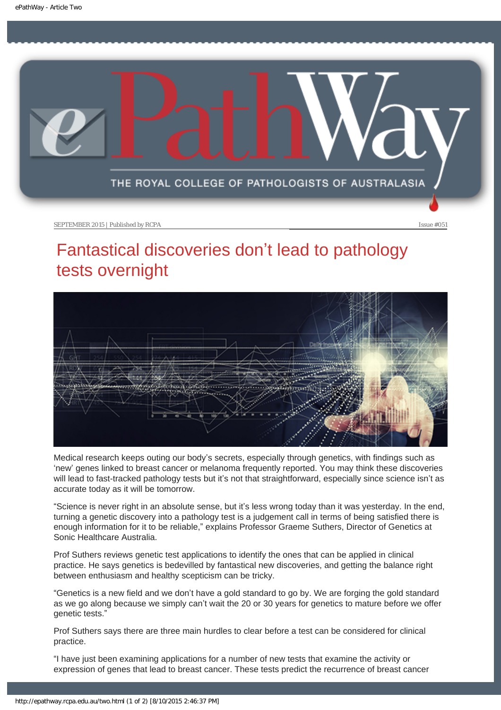<span id="page-7-0"></span>

# Fantastical discoveries don't lead to pathology tests overnight



Medical research keeps outing our body's secrets, especially through genetics, with findings such as 'new' genes linked to breast cancer or melanoma frequently reported. You may think these discoveries will lead to fast-tracked pathology tests but it's not that straightforward, especially since science isn't as accurate today as it will be tomorrow.

"Science is never right in an absolute sense, but it's less wrong today than it was yesterday. In the end, turning a genetic discovery into a pathology test is a judgement call in terms of being satisfied there is enough information for it to be reliable," explains Professor Graeme Suthers, Director of Genetics at Sonic Healthcare Australia.

Prof Suthers reviews genetic test applications to identify the ones that can be applied in clinical practice. He says genetics is bedevilled by fantastical new discoveries, and getting the balance right between enthusiasm and healthy scepticism can be tricky.

"Genetics is a new field and we don't have a gold standard to go by. We are forging the gold standard as we go along because we simply can't wait the 20 or 30 years for genetics to mature before we offer genetic tests."

Prof Suthers says there are three main hurdles to clear before a test can be considered for clinical practice.

"I have just been examining applications for a number of new tests that examine the activity or expression of genes that lead to breast cancer. These tests predict the recurrence of breast cancer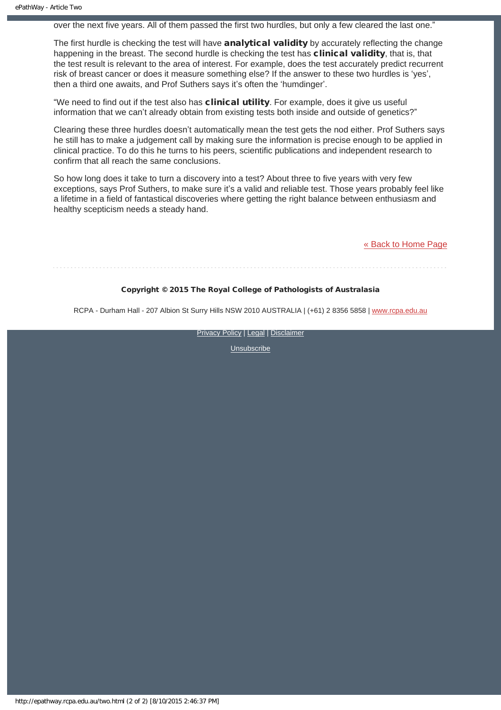over the next five years. All of them passed the first two hurdles, but only a few cleared the last one."

The first hurdle is checking the test will have **analytical validity** by accurately reflecting the change happening in the breast. The second hurdle is checking the test has **clinical validity**, that is, that the test result is relevant to the area of interest. For example, does the test accurately predict recurrent risk of breast cancer or does it measure something else? If the answer to these two hurdles is 'yes', then a third one awaits, and Prof Suthers says it's often the 'humdinger'.

"We need to find out if the test also has clinical utility. For example, does it give us useful information that we can't already obtain from existing tests both inside and outside of genetics?"

Clearing these three hurdles doesn't automatically mean the test gets the nod either. Prof Suthers says he still has to make a judgement call by making sure the information is precise enough to be applied in clinical practice. To do this he turns to his peers, scientific publications and independent research to confirm that all reach the same conclusions.

So how long does it take to turn a discovery into a test? About three to five years with very few exceptions, says Prof Suthers, to make sure it's a valid and reliable test. Those years probably feel like a lifetime in a field of fantastical discoveries where getting the right balance between enthusiasm and healthy scepticism needs a steady hand.

[« Back to Home Page](http://epathway.rcpa.edu.au/index.html)

### Copyright © 2015 The Royal College of Pathologists of Australasia

RCPA - Durham Hall - 207 Albion St Surry Hills NSW 2010 AUSTRALIA | (+61) 2 8356 5858 | [www.rcpa.edu.au](https://www.rcpa.edu.au/)

[Privacy Policy](https://www.rcpa.edu.au/Content-Library/Privacy.aspx) | [Legal](https://www.rcpa.edu.au/Legal.aspx) | [Disclaimer](https://www.rcpa.edu.au/Disclaimer.aspx)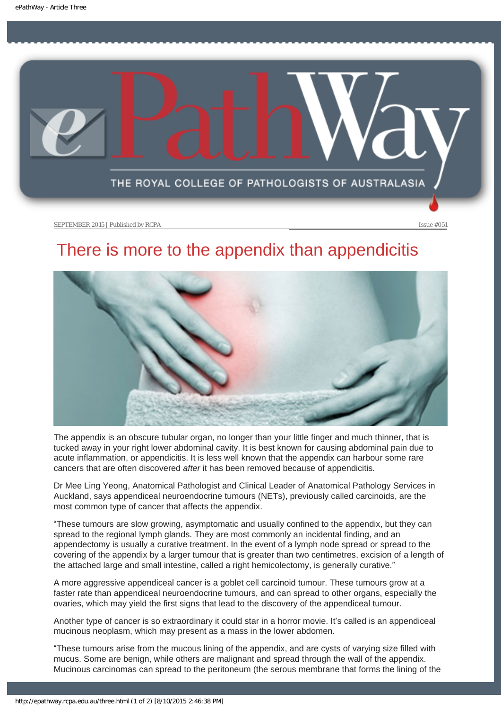<span id="page-9-0"></span>

# There is more to the appendix than appendicitis



The appendix is an obscure tubular organ, no longer than your little finger and much thinner, that is tucked away in your right lower abdominal cavity. It is best known for causing abdominal pain due to acute inflammation, or appendicitis. It is less well known that the appendix can harbour some rare cancers that are often discovered *after* it has been removed because of appendicitis.

Dr Mee Ling Yeong, Anatomical Pathologist and Clinical Leader of Anatomical Pathology Services in Auckland, says appendiceal neuroendocrine tumours (NETs), previously called carcinoids, are the most common type of cancer that affects the appendix.

"These tumours are slow growing, asymptomatic and usually confined to the appendix, but they can spread to the regional lymph glands. They are most commonly an incidental finding, and an appendectomy is usually a curative treatment. In the event of a lymph node spread or spread to the covering of the appendix by a larger tumour that is greater than two centimetres, excision of a length of the attached large and small intestine, called a right hemicolectomy, is generally curative."

A more aggressive appendiceal cancer is a goblet cell carcinoid tumour. These tumours grow at a faster rate than appendiceal neuroendocrine tumours, and can spread to other organs, especially the ovaries, which may yield the first signs that lead to the discovery of the appendiceal tumour.

Another type of cancer is so extraordinary it could star in a horror movie. It's called is an appendiceal mucinous neoplasm, which may present as a mass in the lower abdomen.

"These tumours arise from the mucous lining of the appendix, and are cysts of varying size filled with mucus. Some are benign, while others are malignant and spread through the wall of the appendix. Mucinous carcinomas can spread to the peritoneum (the serous membrane that forms the lining of the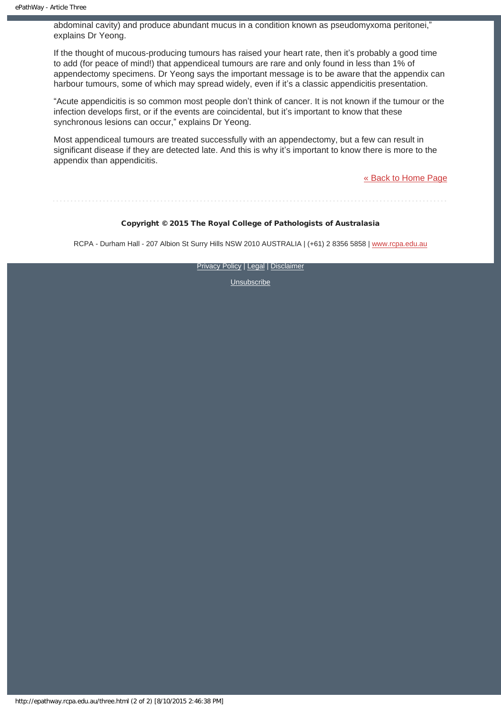abdominal cavity) and produce abundant mucus in a condition known as pseudomyxoma peritonei," explains Dr Yeong.

If the thought of mucous-producing tumours has raised your heart rate, then it's probably a good time to add (for peace of mind!) that appendiceal tumours are rare and only found in less than 1% of appendectomy specimens. Dr Yeong says the important message is to be aware that the appendix can harbour tumours, some of which may spread widely, even if it's a classic appendicitis presentation.

"Acute appendicitis is so common most people don't think of cancer. It is not known if the tumour or the infection develops first, or if the events are coincidental, but it's important to know that these synchronous lesions can occur," explains Dr Yeong.

Most appendiceal tumours are treated successfully with an appendectomy, but a few can result in significant disease if they are detected late. And this is why it's important to know there is more to the appendix than appendicitis.

[« Back to Home Page](http://epathway.rcpa.edu.au/index.html)

### Copyright © 2015 The Royal College of Pathologists of Australasia

RCPA - Durham Hall - 207 Albion St Surry Hills NSW 2010 AUSTRALIA | (+61) 2 8356 5858 | [www.rcpa.edu.au](https://www.rcpa.edu.au/)

**[Privacy Policy](https://www.rcpa.edu.au/Content-Library/Privacy.aspx) | [Legal](https://www.rcpa.edu.au/Legal.aspx) | [Disclaimer](https://www.rcpa.edu.au/Disclaimer.aspx)**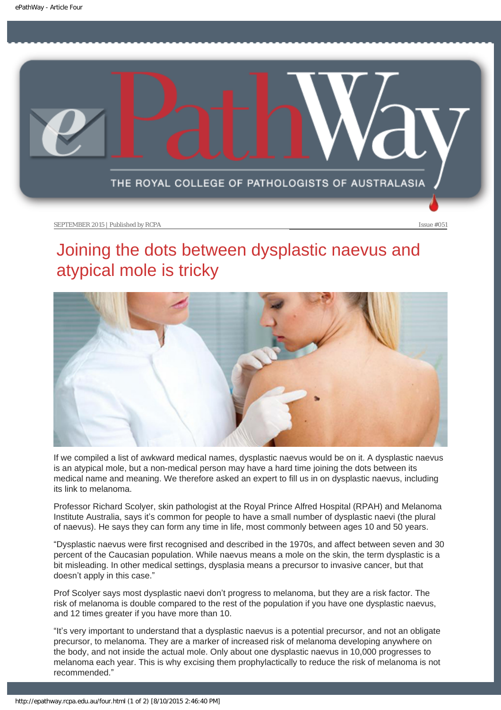<span id="page-11-0"></span>

# Joining the dots between dysplastic naevus and atypical mole is tricky



If we compiled a list of awkward medical names, dysplastic naevus would be on it. A dysplastic naevus is an atypical mole, but a non-medical person may have a hard time joining the dots between its medical name and meaning. We therefore asked an expert to fill us in on dysplastic naevus, including its link to melanoma.

Professor Richard Scolyer, skin pathologist at the Royal Prince Alfred Hospital (RPAH) and Melanoma Institute Australia, says it's common for people to have a small number of dysplastic naevi (the plural of naevus). He says they can form any time in life, most commonly between ages 10 and 50 years.

"Dysplastic naevus were first recognised and described in the 1970s, and affect between seven and 30 percent of the Caucasian population. While naevus means a mole on the skin, the term dysplastic is a bit misleading. In other medical settings, dysplasia means a precursor to invasive cancer, but that doesn't apply in this case."

Prof Scolyer says most dysplastic naevi don't progress to melanoma, but they are a risk factor. The risk of melanoma is double compared to the rest of the population if you have one dysplastic naevus, and 12 times greater if you have more than 10.

"It's very important to understand that a dysplastic naevus is a potential precursor, and not an obligate precursor, to melanoma. They are a marker of increased risk of melanoma developing anywhere on the body, and not inside the actual mole. Only about one dysplastic naevus in 10,000 progresses to melanoma each year. This is why excising them prophylactically to reduce the risk of melanoma is not recommended."